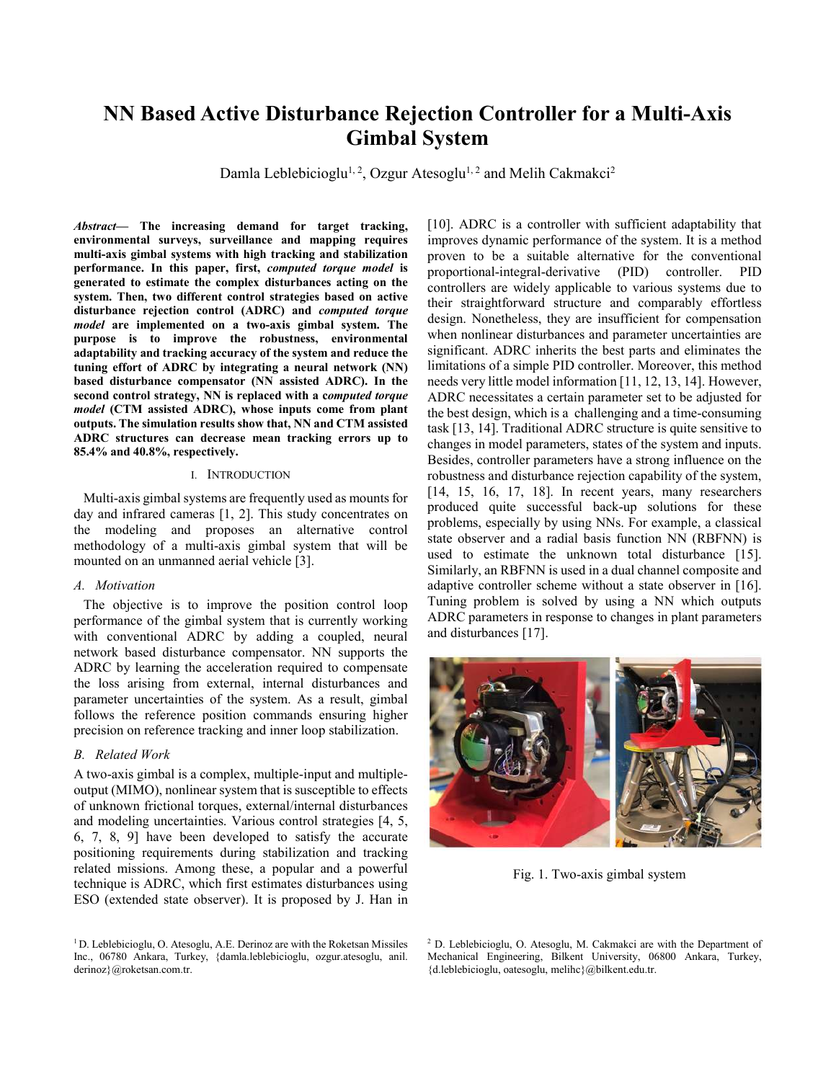# **NN Based Active Disturbance Rejection Controller for a Multi-Axis Gimbal System**

Damla Leblebicioglu<sup>1, 2</sup>, Ozgur Atesoglu<sup>1, 2</sup> and Melih Cakmakci<sup>2</sup>

*Abstract***— The increasing demand for target tracking, environmental surveys, surveillance and mapping requires multi-axis gimbal systems with high tracking and stabilization performance. In this paper, first,** *computed torque model* **is generated to estimate the complex disturbances acting on the system. Then, two different control strategies based on active disturbance rejection control (ADRC) and** *computed torque model* **are implemented on a two-axis gimbal system. The purpose is to improve the robustness, environmental adaptability and tracking accuracy of the system and reduce the tuning effort of ADRC by integrating a neural network (NN) based disturbance compensator (NN assisted ADRC). In the second control strategy, NN is replaced with a c***omputed torque model* **(CTM assisted ADRC), whose inputs come from plant outputs. The simulation results show that, NN and CTM assisted ADRC structures can decrease mean tracking errors up to 85.4% and 40.8%, respectively.** 

## I. INTRODUCTION

Multi-axis gimbal systems are frequently used as mounts for day and infrared cameras [1, 2]. This study concentrates on the modeling and proposes an alternative control methodology of a multi-axis gimbal system that will be mounted on an unmanned aerial vehicle [3].

# *A. Motivation*

The objective is to improve the position control loop performance of the gimbal system that is currently working with conventional ADRC by adding a coupled, neural network based disturbance compensator. NN supports the ADRC by learning the acceleration required to compensate the loss arising from external, internal disturbances and parameter uncertainties of the system. As a result, gimbal follows the reference position commands ensuring higher precision on reference tracking and inner loop stabilization.

## *B. Related Work*

A two-axis gimbal is a complex, multiple-input and multipleoutput (MIMO), nonlinear system that is susceptible to effects of unknown frictional torques, external/internal disturbances and modeling uncertainties. Various control strategies [4, 5, 6, 7, 8, 9] have been developed to satisfy the accurate positioning requirements during stabilization and tracking related missions. Among these, a popular and a powerful technique is ADRC, which first estimates disturbances using ESO (extended state observer). It is proposed by J. Han in [10]. ADRC is a controller with sufficient adaptability that improves dynamic performance of the system. It is a method proven to be a suitable alternative for the conventional proportional-integral-derivative (PID) controller. PID controllers are widely applicable to various systems due to their straightforward structure and comparably effortless design. Nonetheless, they are insufficient for compensation when nonlinear disturbances and parameter uncertainties are significant. ADRC inherits the best parts and eliminates the limitations of a simple PID controller. Moreover, this method needs very little model information [11, 12, 13, 14]. However, ADRC necessitates a certain parameter set to be adjusted for the best design, which is a challenging and a time-consuming task [13, 14]. Traditional ADRC structure is quite sensitive to changes in model parameters, states of the system and inputs. Besides, controller parameters have a strong influence on the robustness and disturbance rejection capability of the system, [14, 15, 16, 17, 18]. In recent years, many researchers produced quite successful back-up solutions for these problems, especially by using NNs. For example, a classical state observer and a radial basis function NN (RBFNN) is used to estimate the unknown total disturbance [15]. Similarly, an RBFNN is used in a dual channel composite and adaptive controller scheme without a state observer in [16]. Tuning problem is solved by using a NN which outputs ADRC parameters in response to changes in plant parameters and disturbances [17].



Fig. 1. Two-axis gimbal system

<sup>&</sup>lt;sup>1</sup> D. Leblebicioglu, O. Atesoglu, A.E. Derinoz are with the Roketsan Missiles Inc., 06780 Ankara, Turkey, {damla.leblebicioglu, ozgur.atesoglu, anil. derinoz}@roketsan.com.tr.

<sup>&</sup>lt;sup>2</sup> D. Leblebicioglu, O. Atesoglu, M. Cakmakci are with the Department of Mechanical Engineering, Bilkent University, 06800 Ankara, Turkey, {d.leblebicioglu, oatesoglu, melihc}@bilkent.edu.tr.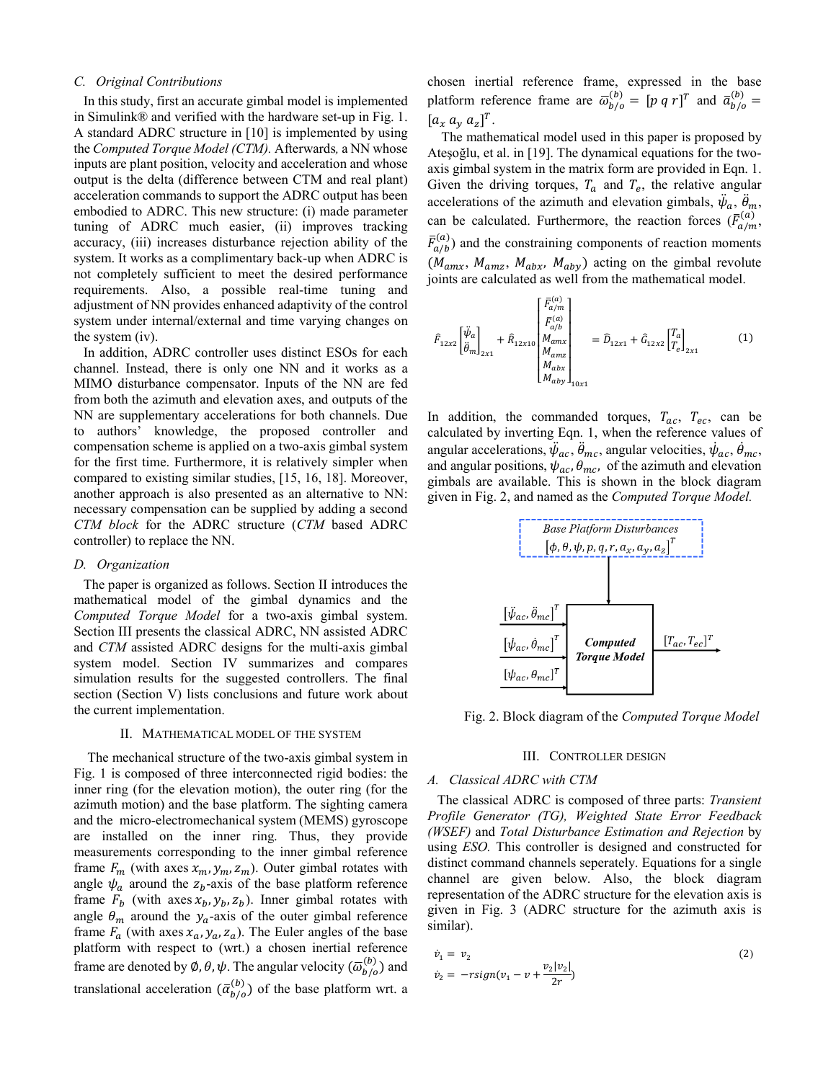# *C. Original Contributions*

In this study, first an accurate gimbal model is implemented in Simulink® and verified with the hardware set-up in Fig. 1. A standard ADRC structure in [10] is implemented by using the *Computed Torque Model (CTM).* Afterwards*,* a NN whose inputs are plant position, velocity and acceleration and whose output is the delta (difference between CTM and real plant) acceleration commands to support the ADRC output has been embodied to ADRC. This new structure: (i) made parameter tuning of ADRC much easier, (ii) improves tracking accuracy, (iii) increases disturbance rejection ability of the system. It works as a complimentary back-up when ADRC is not completely sufficient to meet the desired performance requirements. Also, a possible real-time tuning and adjustment of NN provides enhanced adaptivity of the control system under internal/external and time varying changes on the system (iv).

In addition, ADRC controller uses distinct ESOs for each channel. Instead, there is only one NN and it works as a MIMO disturbance compensator. Inputs of the NN are fed from both the azimuth and elevation axes, and outputs of the NN are supplementary accelerations for both channels. Due to authors' knowledge, the proposed controller and compensation scheme is applied on a two-axis gimbal system for the first time. Furthermore, it is relatively simpler when compared to existing similar studies, [15, 16, 18]. Moreover, another approach is also presented as an alternative to NN: necessary compensation can be supplied by adding a second *CTM block* for the ADRC structure (*CTM* based ADRC controller) to replace the NN.

## *D. Organization*

The paper is organized as follows. Section II introduces the mathematical model of the gimbal dynamics and the *Computed Torque Model* for a two-axis gimbal system. Section III presents the classical ADRC, NN assisted ADRC and *CTM* assisted ADRC designs for the multi-axis gimbal system model. Section IV summarizes and compares simulation results for the suggested controllers. The final section (Section V) lists conclusions and future work about the current implementation.

## II. MATHEMATICAL MODEL OF THE SYSTEM

The mechanical structure of the two-axis gimbal system in Fig. 1 is composed of three interconnected rigid bodies: the inner ring (for the elevation motion), the outer ring (for the azimuth motion) and the base platform. The sighting camera and the micro-electromechanical system (MEMS) gyroscope are installed on the inner ring. Thus, they provide measurements corresponding to the inner gimbal reference frame  $F_m$  (with axes  $x_m$ ,  $y_m$ ,  $z_m$ ). Outer gimbal rotates with angle  $\psi_a$  around the  $z_b$ -axis of the base platform reference frame  $F_b$  (with axes  $x_b, y_b, z_b$ ). Inner gimbal rotates with angle  $\theta_m$  around the  $y_a$ -axis of the outer gimbal reference frame  $F_a$  (with axes  $x_a$ ,  $y_a$ ,  $z_a$ ). The Euler angles of the base platform with respect to (wrt.) a chosen inertial reference frame are denoted by  $\emptyset$ ,  $\theta$ ,  $\psi$ . The angular velocity  $(\overline{\omega}_{b/o}^{(b)})$  and translational acceleration  $(\bar{\alpha}_{b/o}^{(b)})$  of the base platform wrt. a chosen inertial reference frame, expressed in the base platform reference frame are  $\overline{\omega}_{b/o}^{(b)} = [p \ q \ r]^T$  and  $\overline{\alpha}_{b/o}^{(b)} =$  $[a_x a_y a_z]^T$ .

The mathematical model used in this paper is proposed by Ateşoğlu, et al. in [19]. The dynamical equations for the twoaxis gimbal system in the matrix form are provided in Eqn. 1. Given the driving torques,  $T_a$  and  $T_e$ , the relative angular accelerations of the azimuth and elevation gimbals,  $\ddot{\psi}_a$ ,  $\ddot{\theta}_m$ , can be calculated. Furthermore, the reaction forces  $(\bar{F}_{a/m}^{(a)}$  $\begin{array}{c} (a) \\ (m) \end{array}$  $\bar{F}_{a/b}^{(a)}$  $\binom{a}{b}$  and the constraining components of reaction moments  $(M_{amx}, M_{amz}, M_{abx}, M_{aby})$  acting on the gimbal revolute joints are calculated as well from the mathematical model.

$$
\hat{F}_{12x2} \begin{bmatrix} \ddot{\psi}_a \\ \ddot{\theta}_m \end{bmatrix}_{2x1} + \hat{R}_{12x10} \begin{bmatrix} \bar{F}_{(a/n)}^{(a)} \\ \bar{F}_{(a/b)}^{(a)} \\ M_{amx} \\ M_{amz} \\ M_{abx} \\ M_{aby} \end{bmatrix}_{10x1} = \hat{D}_{12x1} + \hat{G}_{12x2} \begin{bmatrix} T_a \\ T_e \end{bmatrix}_{2x1} \tag{1}
$$

In addition, the commanded torques,  $T_{ac}$ ,  $T_{ec}$ , can be calculated by inverting Eqn. 1, when the reference values of angular accelerations,  $\ddot{\psi}_{ac}$ ,  $\ddot{\theta}_{mc}$ , angular velocities,  $\dot{\psi}_{ac}$ ,  $\dot{\theta}_{mc}$ , and angular positions,  $\psi_{ac}, \theta_{mc}$ , of the azimuth and elevation gimbals are available. This is shown in the block diagram given in Fig. 2, and named as the *Computed Torque Model.*



Fig. 2. Block diagram of the *Computed Torque Model*

#### III. CONTROLLER DESIGN

#### *A. Classical ADRC with CTM*

The classical ADRC is composed of three parts: *Transient Profile Generator (TG), Weighted State Error Feedback (WSEF)* and *Total Disturbance Estimation and Rejection* by using *ESO.* This controller is designed and constructed for distinct command channels seperately. Equations for a single channel are given below. Also, the block diagram representation of the ADRC structure for the elevation axis is given in Fig. 3 (ADRC structure for the azimuth axis is similar).

$$
\dot{v}_1 = v_2
$$
  
\n
$$
\dot{v}_2 = -rsign(v_1 - v + \frac{v_2|v_2|}{2r})
$$
\n(2)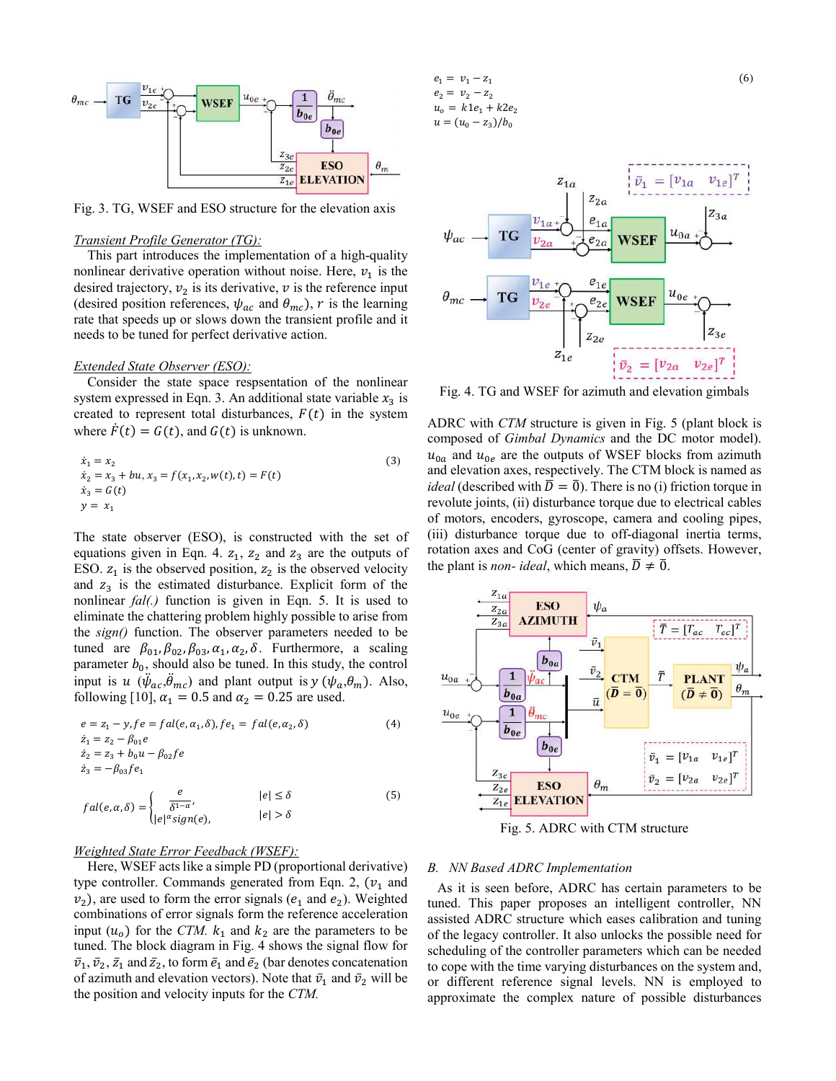

Fig. 3. TG, WSEF and ESO structure for the elevation axis

# *Transient Profile Generator (TG):*

This part introduces the implementation of a high-quality nonlinear derivative operation without noise. Here,  $v_1$  is the desired trajectory,  $v_2$  is its derivative,  $v$  is the reference input (desired position references,  $\psi_{ac}$  and  $\theta_{mc}$ ), r is the learning rate that speeds up or slows down the transient profile and it needs to be tuned for perfect derivative action.

# *Extended State Observer (ESO):*

Consider the state space respsentation of the nonlinear system expressed in Eqn. 3. An additional state variable  $x_3$  is created to represent total disturbances,  $F(t)$  in the system where  $\dot{F}(t) = G(t)$ , and  $G(t)$  is unknown.

$$
\begin{aligned}\n\dot{x}_1 &= x_2\\ \n\dot{x}_2 &= x_3 + bu, x_3 = f(x_1, x_2, w(t), t) = F(t)\\ \n\dot{x}_3 &= G(t)\\ \ny &= x_1\n\end{aligned} \tag{3}
$$

The state observer (ESO), is constructed with the set of equations given in Eqn. 4.  $z_1$ ,  $z_2$  and  $z_3$  are the outputs of ESO.  $z_1$  is the observed position,  $z_2$  is the observed velocity and  $z_3$  is the estimated disturbance. Explicit form of the nonlinear *fal(.)* function is given in Eqn. 5. It is used to eliminate the chattering problem highly possible to arise from the *sign()* function. The observer parameters needed to be tuned are  $\beta_{01}, \beta_{02}, \beta_{03}, \alpha_1, \alpha_2, \delta$ . Furthermore, a scaling parameter  $b_0$ , should also be tuned. In this study, the control input is  $u$  ( $\ddot{\psi}_{ac}, \ddot{\theta}_{mc}$ ) and plant output is  $y$  ( $\psi_a, \theta_m$ ). Also, following [10],  $\alpha_1 = 0.5$  and  $\alpha_2 = 0.25$  are used.

$$
e = z_1 - y, fe = fal(e, \alpha_1, \delta), fe_1 = fal(e, \alpha_2, \delta)
$$
\n
$$
\dot{z}_1 = z_2 - \beta_{01}e
$$
\n
$$
\dot{z}_2 = z_3 + b_0u - \beta_{02}fe
$$
\n
$$
\dot{z}_3 = -\beta_{03}fe_1
$$
\n
$$
fal(e, \alpha, \delta) = \begin{cases}\n\frac{e}{\delta^{1-\alpha}}, & |e| \le \delta \\
|e|^{\alpha}sign(e), & |e| > \delta\n\end{cases}
$$
\n(5)

# *Weighted State Error Feedback (WSEF):*

Here, WSEF acts like a simple PD (proportional derivative) type controller. Commands generated from Eqn. 2,  $(v_1$  and  $v_2$ ), are used to form the error signals ( $e_1$  and  $e_2$ ). Weighted combinations of error signals form the reference acceleration input  $(u_0)$  for the *CTM*.  $k_1$  and  $k_2$  are the parameters to be tuned. The block diagram in Fig. 4 shows the signal flow for  $\bar{v}_1$ ,  $\bar{v}_2$ ,  $\bar{z}_1$  and  $\bar{z}_2$ , to form  $\bar{e}_1$  and  $\bar{e}_2$  (bar denotes concatenation of azimuth and elevation vectors). Note that  $\bar{v}_1$  and  $\bar{v}_2$  will be the position and velocity inputs for the *CTM.*

 $e_1 = v_1 - z_1$  $v_2 - z_2$  $= k1e_1 + k2e_2$  $u = ( u_0 - z_3)/b_0$ 

 $\mathfrak{z}_{1a}$  $= \lceil v_{1a} \rceil$  $z_{2a}$  $z_{3a}$  $e_{1a}$  $u_{0a}$  $\psi_{ac}$  $\mathbf{T}\mathbf{G}$  $v_{2c}$ 'SEF  $e_{2}$  $e_{1e}$  $u_{0e}$  $\theta_{mc}$ TG  $e_{2e}$  $z_{2e}$  $z_{1e}$  $=[v_{2a}$  $\bar{v}_2$  $v_{2e}$ 

Fig. 4. TG and WSEF for azimuth and elevation gimbals

ADRC with *CTM* structure is given in Fig. 5 (plant block is composed of *Gimbal Dynamics* and the DC motor model).  $u_{0a}$  and  $u_{0e}$  are the outputs of WSEF blocks from azimuth and elevation axes, respectively. The CTM block is named as *ideal* (described with  $\overline{D} = \overline{0}$ ). There is no (i) friction torque in revolute joints, (ii) disturbance torque due to electrical cables of motors, encoders, gyroscope, camera and cooling pipes, (iii) disturbance torque due to off-diagonal inertia terms, rotation axes and CoG (center of gravity) offsets. However, the plant is *non- ideal*, which means,  $\overline{D} \neq \overline{0}$ .



Fig. 5. ADRC with CTM structure

#### *B. NN Based ADRC Implementation*

As it is seen before, ADRC has certain parameters to be tuned. This paper proposes an intelligent controller, NN assisted ADRC structure which eases calibration and tuning of the legacy controller. It also unlocks the possible need for scheduling of the controller parameters which can be needed to cope with the time varying disturbances on the system and, or different reference signal levels. NN is employed to approximate the complex nature of possible disturbances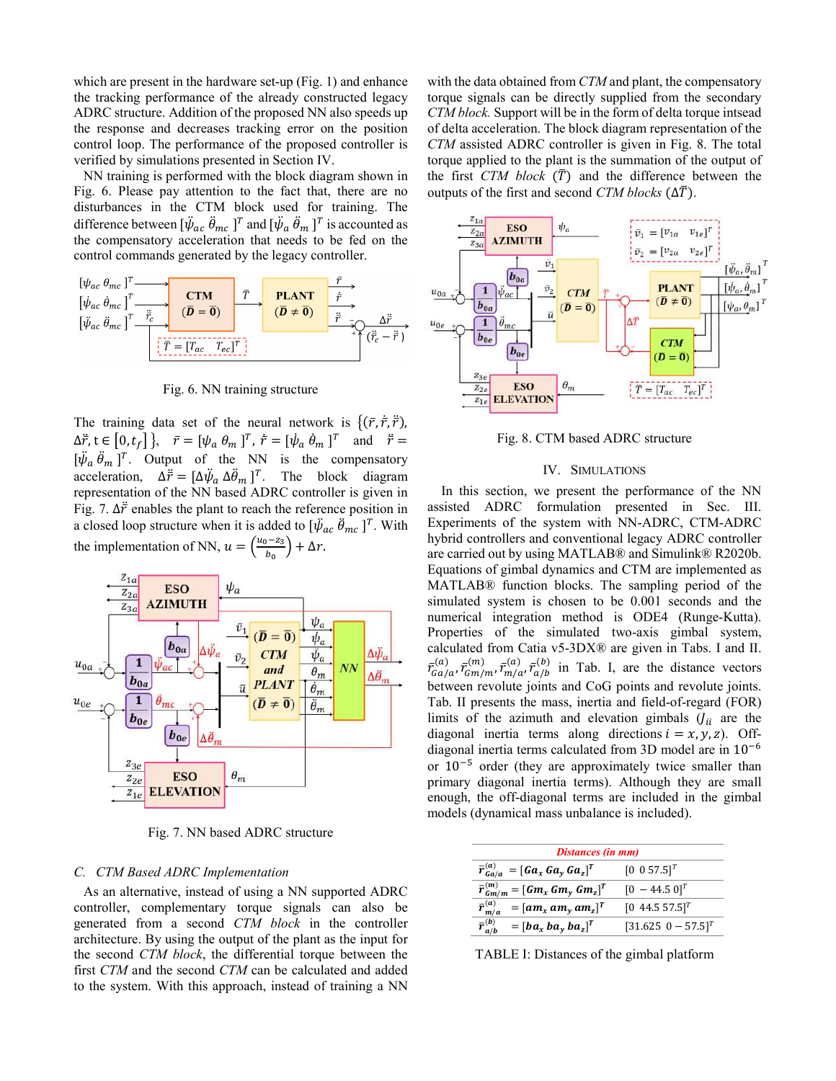which are present in the hardware set-up (Fig. 1) and enhance the tracking performance of the already constructed legacy ADRC structure. Addition of the proposed NN also speeds up the response and decreases tracking error on the position control loop. The performance of the proposed controller is verified by simulations presented in Section IV.

NN training is performed with the block diagram shown in Fig. 6. Please pay attention to the fact that, there are no disturbances in the CTM block used for training. The difference between  $[\ddot{\psi}_{ac} \ddot{\theta}_{mc}]^T$  and  $[\ddot{\psi}_a \ddot{\theta}_m]^T$  is accounted as the compensatory acceleration that needs to be fed on the control commands generated by the legacy controller.



Fig. 6. NN training structure

The training data set of the neural network is  $\{(\bar{r}, \dot{\bar{r}}, \ddot{\bar{r}})\}$ , ̅  $\Delta \vec{r}$ ,  $t \in [0, t_f]$ ,  $\vec{r} = [\psi_a \ \theta_m \ ]^T$ ,  $\dot{\vec{r}} = [\dot{\psi}_a \ \dot{\theta}_m \ ]^T$  and  $\ddot{\vec{r}} =$  $[\ddot{\psi}_a \ddot{\theta}_m]^T$ . Output of the NN is the compensatory acceleration,  $\Delta \ddot{\vec{r}} = [\Delta \ddot{\psi}_a \ \Delta \ddot{\theta}_m]^T$ . The block diagram representation of the NN based ADRC controller is given in Fig. 7.  $\Delta \vec{r}$  enables the plant to reach the reference position in a closed loop structure when it is added to  $[\psi_{ac} \ \ddot{\theta}_{mc}]^T$ . With the implementation of NN,  $u = \left(\frac{u_0 - z_3}{h}\right)$  $\frac{b_0-23}{b_0}$  +  $\Delta r$ .



Fig. 7. NN based ADRC structure

# *C. CTM Based ADRC Implementation*

As an alternative, instead of using a NN supported ADRC controller, complementary torque signals can also be generated from a second *CTM block* in the controller architecture. By using the output of the plant as the input for the second *CTM block*, the differential torque between the first *CTM* and the second *CTM* can be calculated and added to the system. With this approach, instead of training a NN with the data obtained from *CTM* and plant, the compensatory torque signals can be directly supplied from the secondary *CTM block.* Support will be in the form of delta torque intsead of delta acceleration. The block diagram representation of the *CTM* assisted ADRC controller is given in Fig. 8. The total torque applied to the plant is the summation of the output of the first *CTM block*  $(\overline{T})$  and the difference between the outputs of the first and second *CTM blocks* ( $\Delta \bar{T}$ ).



Fig. 8. CTM based ADRC structure

# IV. SIMULATIONS

In this section, we present the performance of the NN assisted ADRC formulation presented in Sec. III. Experiments of the system with NN-ADRC, CTM-ADRC hybrid controllers and conventional legacy ADRC controller are carried out by using MATLAB® and Simulink® R2020b. Equations of gimbal dynamics and CTM are implemented as MATLAB® function blocks. The sampling period of the simulated system is chosen to be 0.001 seconds and the numerical integration method is ODE4 (Runge-Kutta). Properties of the simulated two-axis gimbal system, calculated from Catia v5-3DX® are given in Tabs. I and II.  $\bar{r}_{Ga/a}^{(a)}, \bar{r}_{cm/m}^{(m)}, \bar{r}_{m/a}^{(a)}, \bar{r}_{a/b}^{(b)}$  in Tab. I, are the distance vectors between revolute joints and CoG points and revolute joints. Tab. II presents the mass, inertia and field-of-regard (FOR) limits of the azimuth and elevation gimbals  $U_{ii}$  are the diagonal inertia terms along directions  $i = x, y, z$ . Offdiagonal inertia terms calculated from 3D model are in  $10^{-6}$ or  $10^{-5}$  order (they are approximately twice smaller than primary diagonal inertia terms). Although they are small enough, the off-diagonal terms are included in the gimbal models (dynamical mass unbalance is included).

| Distances (in mm)                              |                           |  |  |
|------------------------------------------------|---------------------------|--|--|
| $\bar{r}_{Ga/a}^{(a)} = [Ga_x Ga_y Ga_z]^T$    | $[0 0 57.5]^{T}$          |  |  |
| $\bar{r}_{Gm/m}^{(m)} = [Gm_x Gm_y Gm_z]^T$    | $[0 - 44.5 0]^{T}$        |  |  |
| $\bar{r}_{m/a}^{(a)}$<br>$=[am_x am_y am_z]^T$ | $[0, 44.5, 57.5]^T$       |  |  |
| $\bar{r}_{a/b}^{(b)}$<br>$=[ba_x ba_y ba_z]^T$ | $[31.625 \ \ 0 - 57.5]^T$ |  |  |

TABLE I: Distances of the gimbal platform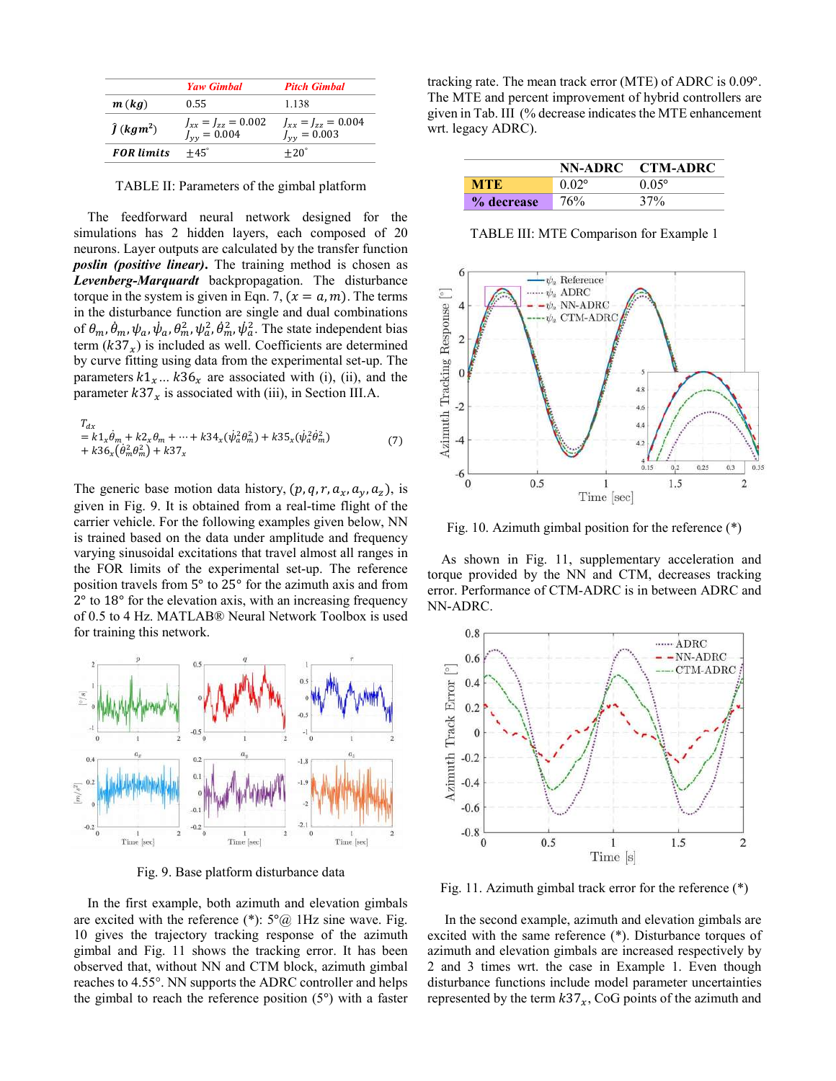|                               | Yaw Gimbal                                        | <b>Pitch Gimbal</b>                           |
|-------------------------------|---------------------------------------------------|-----------------------------------------------|
| m(kq)                         | 0.55                                              | 1.138                                         |
| $\hat{I}$ (kgm <sup>2</sup> ) | $J_{xx} = J_{zz} = 0.002$<br>$J_{\rm vv} = 0.004$ | $J_{xx} = J_{zz} = 0.004$<br>$J_{yy} = 0.003$ |
| <b>FOR</b> limits             | $+45^\circ$                                       | $+20^\circ$                                   |

TABLE II: Parameters of the gimbal platform

The feedforward neural network designed for the simulations has 2 hidden layers, each composed of 20 neurons. Layer outputs are calculated by the transfer function *poslin (positive linear)***.** The training method is chosen as *Levenberg-Marquardt* backpropagation. The disturbance torque in the system is given in Eqn. 7,  $(x = a, m)$ . The terms in the disturbance function are single and dual combinations of  $\theta_m$ ,  $\dot{\theta}_m$ ,  $\psi_a$ ,  $\dot{\psi}_a$ ,  $\theta_m^2$ ,  $\dot{\psi}_a^2$ ,  $\dot{\psi}_a^2$ . The state independent bias term  $(k37<sub>x</sub>)$  is included as well. Coefficients are determined by curve fitting using data from the experimental set-up. The parameters  $k1_x... k36_x$  are associated with (i), (ii), and the parameter  $k37_x$  is associated with (iii), in Section III.A.

$$
T_{dx} = k1_x \dot{\theta}_m + k2_x \theta_m + \dots + k34_x (\dot{\psi}_a^2 \theta_m^2) + k35_x (\dot{\psi}_a^2 \dot{\theta}_m^2) + k36_x (\dot{\theta}_m^2 \theta_m^2) + k37_x \tag{7}
$$

The generic base motion data history,  $(p, q, r, a_x, a_y, a_z)$ , is given in Fig. 9. It is obtained from a real-time flight of the carrier vehicle. For the following examples given below, NN is trained based on the data under amplitude and frequency varying sinusoidal excitations that travel almost all ranges in the FOR limits of the experimental set-up. The reference position travels from 5° to 25° for the azimuth axis and from 2° to 18° for the elevation axis, with an increasing frequency of 0.5 to 4 Hz. MATLAB® Neural Network Toolbox is used for training this network.



Fig. 9. Base platform disturbance data

In the first example, both azimuth and elevation gimbals are excited with the reference  $(*)$ :  $5^{\circ}\omega$  1Hz sine wave. Fig. 10 gives the trajectory tracking response of the azimuth gimbal and Fig. 11 shows the tracking error. It has been observed that, without NN and CTM block, azimuth gimbal reaches to 4.55°. NN supports the ADRC controller and helps the gimbal to reach the reference position (5°) with a faster tracking rate. The mean track error (MTE) of ADRC is 0.09°. The MTE and percent improvement of hybrid controllers are given in Tab. III (% decrease indicates the MTE enhancement wrt. legacy ADRC).

|            |       | NN-ADRC CTM-ADRC |
|------------|-------|------------------|
| MTE.       | 0.02° | $0.05^{\circ}$   |
| % decrease | 76%   | 37%              |

TABLE III: MTE Comparison for Example 1



Fig. 10. Azimuth gimbal position for the reference (\*)

As shown in Fig. 11, supplementary acceleration and torque provided by the NN and CTM, decreases tracking error. Performance of CTM-ADRC is in between ADRC and NN-ADRC.



Fig. 11. Azimuth gimbal track error for the reference (\*)

In the second example, azimuth and elevation gimbals are excited with the same reference (\*). Disturbance torques of azimuth and elevation gimbals are increased respectively by 2 and 3 times wrt. the case in Example 1. Even though disturbance functions include model parameter uncertainties represented by the term  $k37_x$ , CoG points of the azimuth and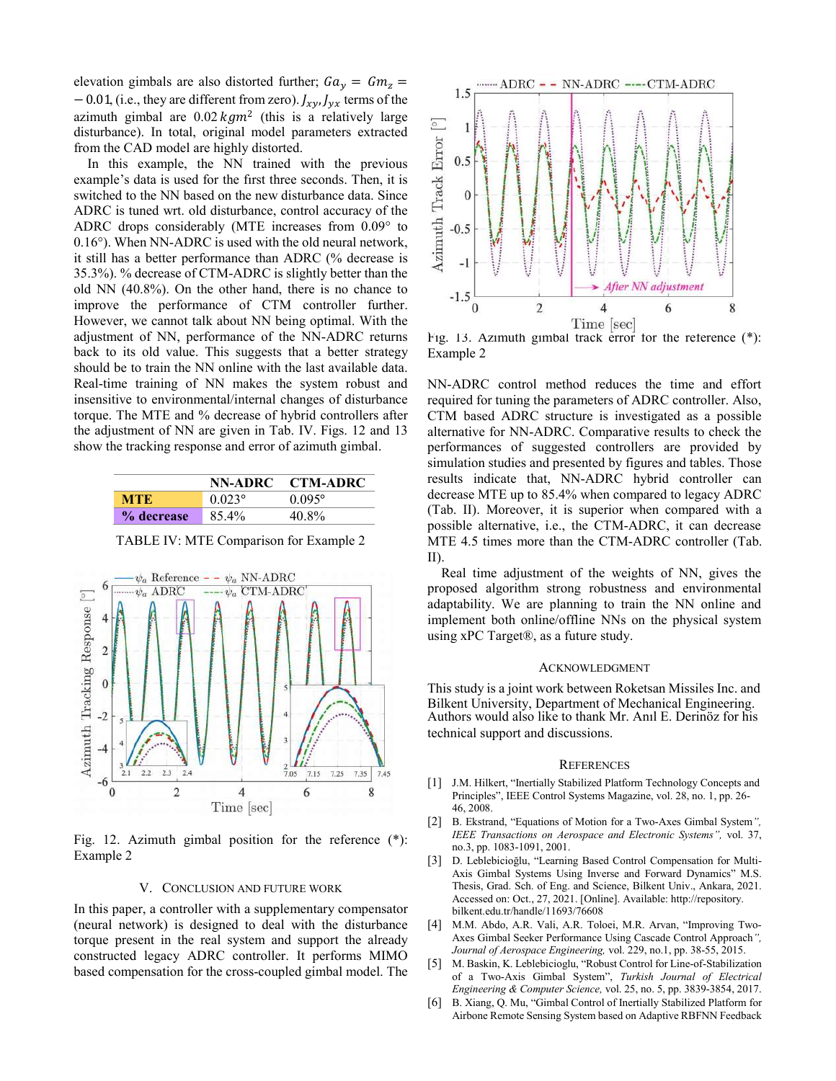elevation gimbals are also distorted further;  $Ga_v = Gm_z$  =  $-0.01$ , (i.e., they are different from zero).  $J_{xy}J_{yx}$  terms of the azimuth gimbal are  $0.02 \text{ kg/m}^2$  (this is a relatively large disturbance). In total, original model parameters extracted from the CAD model are highly distorted.

In this example, the NN trained with the previous example's data is used for the fırst three seconds. Then, it is switched to the NN based on the new disturbance data. Since ADRC is tuned wrt. old disturbance, control accuracy of the ADRC drops considerably (MTE increases from 0.09° to 0.16°). When NN-ADRC is used with the old neural network, it still has a better performance than ADRC (% decrease is 35.3%). % decrease of CTM-ADRC is slightly better than the old NN (40.8%). On the other hand, there is no chance to improve the performance of CTM controller further. However, we cannot talk about NN being optimal. With the adjustment of NN, performance of the NN-ADRC returns back to its old value. This suggests that a better strategy should be to train the NN online with the last available data. Real-time training of NN makes the system robust and insensitive to environmental/internal changes of disturbance torque. The MTE and % decrease of hybrid controllers after the adjustment of NN are given in Tab. IV. Figs. 12 and 13 show the tracking response and error of azimuth gimbal.

|            | NN-ADRC   | <b>CTM-ADRC</b> |
|------------|-----------|-----------------|
| мте        | $0.023$ ° | $0.095^{\circ}$ |
| % decrease | 85.4%     | 40.8%           |

TABLE IV: MTE Comparison for Example 2



Fig. 12. Azimuth gimbal position for the reference (\*): Example 2

## V. CONCLUSION AND FUTURE WORK

In this paper, a controller with a supplementary compensator (neural network) is designed to deal with the disturbance torque present in the real system and support the already constructed legacy ADRC controller. It performs MIMO based compensation for the cross-coupled gimbal model. The



Fig. 13. Azimuth gimbal track error for the reference (\*): Example 2

NN-ADRC control method reduces the time and effort required for tuning the parameters of ADRC controller. Also, CTM based ADRC structure is investigated as a possible alternative for NN-ADRC. Comparative results to check the performances of suggested controllers are provided by simulation studies and presented by figures and tables. Those results indicate that, NN-ADRC hybrid controller can decrease MTE up to 85.4% when compared to legacy ADRC (Tab. II). Moreover, it is superior when compared with a possible alternative, i.e., the CTM-ADRC, it can decrease MTE 4.5 times more than the CTM-ADRC controller (Tab. II).

Real time adjustment of the weights of NN, gives the proposed algorithm strong robustness and environmental adaptability. We are planning to train the NN online and implement both online/offline NNs on the physical system using xPC Target®, as a future study.

## ACKNOWLEDGMENT

This study is a joint work between Roketsan Missiles Inc. and Bilkent University, Department of Mechanical Engineering. Authors would also like to thank Mr. Anıl E. Derinöz for his technical support and discussions.

#### **REFERENCES**

- [1] J.M. Hilkert, "Inertially Stabilized Platform Technology Concepts and Principles", IEEE Control Systems Magazine, vol. 28, no. 1, pp. 26- 46, 2008.
- [2] B. Ekstrand, "Equations of Motion for a Two-Axes Gimbal System*", IEEE Transactions on Aerospace and Electronic Systems",* vol. 37, no.3, pp. 1083-1091, 2001.
- [3] D. Leblebicioğlu, "Learning Based Control Compensation for Multi-Axis Gimbal Systems Using Inverse and Forward Dynamics" M.S. Thesis, Grad. Sch. of Eng. and Science, Bilkent Univ., Ankara, 2021. Accessed on: Oct., 27, 2021. [Online]. Available: http://repository. bilkent.edu.tr/handle/11693/76608
- [4] M.M. Abdo, A.R. Vali, A.R. Toloei, M.R. Arvan, "Improving Two-Axes Gimbal Seeker Performance Using Cascade Control Approach*", Journal of Aerospace Engineering,* vol. 229, no.1, pp. 38-55, 2015.
- [5] M. Baskin, K. Leblebicioglu, "Robust Control for Line-of-Stabilization of a Two-Axis Gimbal System", *Turkish Journal of Electrical Engineering & Computer Science,* vol. 25, no. 5, pp. 3839-3854, 2017.
- [6] B. Xiang, Q. Mu, "Gimbal Control of Inertially Stabilized Platform for Airbone Remote Sensing System based on Adaptive RBFNN Feedback